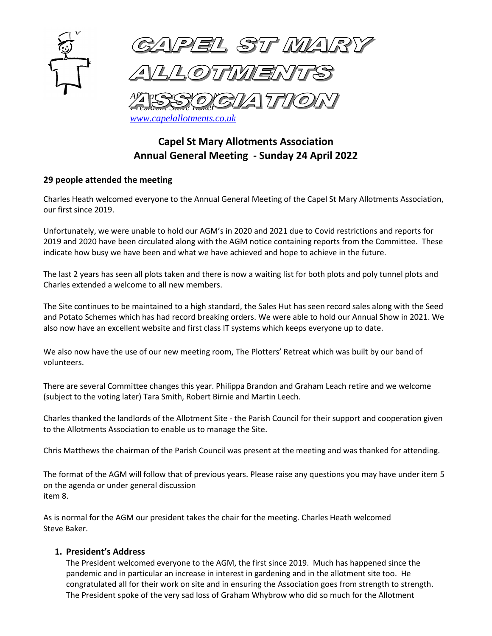

# **Capel St Mary Allotments Association Annual General Meeting - Sunday 24 April 2022**

# **29 people attended the meeting**

Charles Heath welcomed everyone to the Annual General Meeting of the Capel St Mary Allotments Association, our first since 2019.

Unfortunately, we were unable to hold our AGM's in 2020 and 2021 due to Covid restrictions and reports for 2019 and 2020 have been circulated along with the AGM notice containing reports from the Committee. These indicate how busy we have been and what we have achieved and hope to achieve in the future.

The last 2 years has seen all plots taken and there is now a waiting list for both plots and poly tunnel plots and Charles extended a welcome to all new members.

The Site continues to be maintained to a high standard, the Sales Hut has seen record sales along with the Seed and Potato Schemes which has had record breaking orders. We were able to hold our Annual Show in 2021. We also now have an excellent website and first class IT systems which keeps everyone up to date.

We also now have the use of our new meeting room, The Plotters' Retreat which was built by our band of volunteers.

There are several Committee changes this year. Philippa Brandon and Graham Leach retire and we welcome (subject to the voting later) Tara Smith, Robert Birnie and Martin Leech.

Charles thanked the landlords of the Allotment Site - the Parish Council for their support and cooperation given to the Allotments Association to enable us to manage the Site.

Chris Matthews the chairman of the Parish Council was present at the meeting and was thanked for attending.

The format of the AGM will follow that of previous years. Please raise any questions you may have under item 5 on the agenda or under general discussion item 8.

As is normal for the AGM our president takes the chair for the meeting. Charles Heath welcomed Steve Baker.

#### **1. President's Address**

The President welcomed everyone to the AGM, the first since 2019. Much has happened since the pandemic and in particular an increase in interest in gardening and in the allotment site too. He congratulated all for their work on site and in ensuring the Association goes from strength to strength. The President spoke of the very sad loss of Graham Whybrow who did so much for the Allotment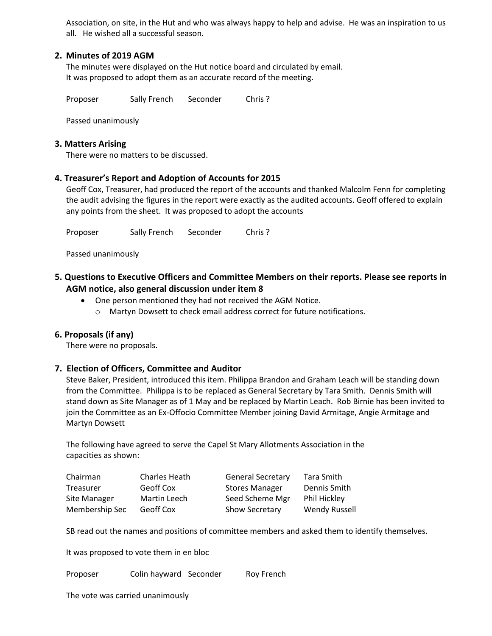Association, on site, in the Hut and who was always happy to help and advise. He was an inspiration to us all. He wished all a successful season.

## **2. Minutes of 2019 AGM**

The minutes were displayed on the Hut notice board and circulated by email. It was proposed to adopt them as an accurate record of the meeting.

Proposer Sally French Seconder Chris?

Passed unanimously

#### **3. Matters Arising**

There were no matters to be discussed.

## **4. Treasurer's Report and Adoption of Accounts for 2015**

Geoff Cox, Treasurer, had produced the report of the accounts and thanked Malcolm Fenn for completing the audit advising the figures in the report were exactly as the audited accounts. Geoff offered to explain any points from the sheet. It was proposed to adopt the accounts

Proposer Sally French Seconder Chris?

Passed unanimously

- **5. Questions to Executive Officers and Committee Members on their reports. Please see reports in AGM notice, also general discussion under item 8**
	- One person mentioned they had not received the AGM Notice.
		- o Martyn Dowsett to check email address correct for future notifications.

#### **6. Proposals (if any)**

There were no proposals.

#### **7. Election of Officers, Committee and Auditor**

Steve Baker, President, introduced this item. Philippa Brandon and Graham Leach will be standing down from the Committee. Philippa is to be replaced as General Secretary by Tara Smith. Dennis Smith will stand down as Site Manager as of 1 May and be replaced by Martin Leach. Rob Birnie has been invited to join the Committee as an Ex-Offocio Committee Member joining David Armitage, Angie Armitage and Martyn Dowsett

The following have agreed to serve the Capel St Mary Allotments Association in the capacities as shown:

| Chairman       | Charles Heath | <b>General Secretary</b> | Tara Smith           |
|----------------|---------------|--------------------------|----------------------|
| Treasurer      | Geoff Cox     | <b>Stores Manager</b>    | Dennis Smith         |
| Site Manager   | Martin Leech  | Seed Scheme Mgr          | Phil Hickley         |
| Membership Sec | Geoff Cox     | <b>Show Secretary</b>    | <b>Wendy Russell</b> |

SB read out the names and positions of committee members and asked them to identify themselves.

It was proposed to vote them in en bloc

Proposer Colin hayward Seconder Roy French

The vote was carried unanimously